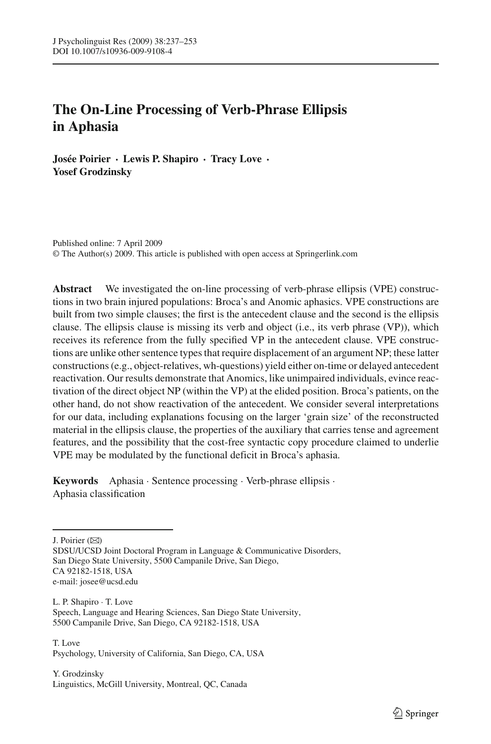# **The On-Line Processing of Verb-Phrase Ellipsis in Aphasia**

**Josée Poirier · Lewis P. Shapiro · Tracy Love · Yosef Grodzinsky**

Published online: 7 April 2009 © The Author(s) 2009. This article is published with open access at Springerlink.com

**Abstract** We investigated the on-line processing of verb-phrase ellipsis (VPE) constructions in two brain injured populations: Broca's and Anomic aphasics. VPE constructions are built from two simple clauses; the first is the antecedent clause and the second is the ellipsis clause. The ellipsis clause is missing its verb and object (i.e., its verb phrase (VP)), which receives its reference from the fully specified VP in the antecedent clause. VPE constructions are unlike other sentence types that require displacement of an argument NP; these latter constructions (e.g., object-relatives, wh-questions) yield either on-time or delayed antecedent reactivation. Our results demonstrate that Anomics, like unimpaired individuals, evince reactivation of the direct object NP (within the VP) at the elided position. Broca's patients, on the other hand, do not show reactivation of the antecedent. We consider several interpretations for our data, including explanations focusing on the larger 'grain size' of the reconstructed material in the ellipsis clause, the properties of the auxiliary that carries tense and agreement features, and the possibility that the cost-free syntactic copy procedure claimed to underlie VPE may be modulated by the functional deficit in Broca's aphasia.

**Keywords** Aphasia · Sentence processing · Verb-phrase ellipsis · Aphasia classification

J. Poirier  $(\boxtimes)$ 

SDSU/UCSD Joint Doctoral Program in Language & Communicative Disorders, San Diego State University, 5500 Campanile Drive, San Diego, CA 92182-1518, USA e-mail: josee@ucsd.edu

L. P. Shapiro · T. Love Speech, Language and Hearing Sciences, San Diego State University, 5500 Campanile Drive, San Diego, CA 92182-1518, USA

T. Love Psychology, University of California, San Diego, CA, USA

```
Y. Grodzinsky
Linguistics, McGill University, Montreal, QC, Canada
```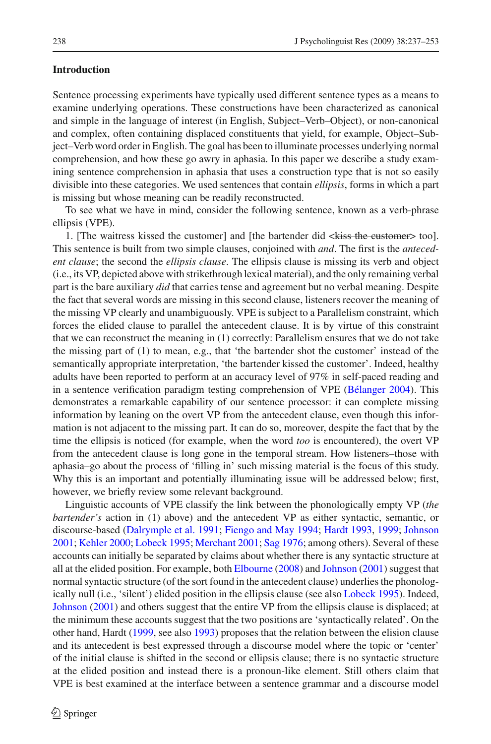## **Introduction**

Sentence processing experiments have typically used different sentence types as a means to examine underlying operations. These constructions have been characterized as canonical and simple in the language of interest (in English, Subject–Verb–Object), or non-canonical and complex, often containing displaced constituents that yield, for example, Object–Subject–Verb word order in English. The goal has been to illuminate processes underlying normal comprehension, and how these go awry in aphasia. In this paper we describe a study examining sentence comprehension in aphasia that uses a construction type that is not so easily divisible into these categories. We used sentences that contain *ellipsis*, forms in which a part is missing but whose meaning can be readily reconstructed.

To see what we have in mind, consider the following sentence, known as a verb-phrase ellipsis (VPE).

1. [The waitress kissed the customer] and [the bartender did <kiss the customer> too]. This sentence is built from two simple clauses, conjoined with *and*. The first is the *antecedent clause*; the second the *ellipsis clause*. The ellipsis clause is missing its verb and object (i.e., its VP, depicted above with strikethrough lexical material), and the only remaining verbal part is the bare auxiliary *did* that carries tense and agreement but no verbal meaning. Despite the fact that several words are missing in this second clause, listeners recover the meaning of the missing VP clearly and unambiguously. VPE is subject to a Parallelism constraint, which forces the elided clause to parallel the antecedent clause. It is by virtue of this constraint that we can reconstruct the meaning in (1) correctly: Parallelism ensures that we do not take the missing part of (1) to mean, e.g., that 'the bartender shot the customer' instead of the semantically appropriate interpretation, 'the bartender kissed the customer'. Indeed, healthy adults have been reported to perform at an accuracy level of 97% in self-paced reading and in a sentence verification paradigm testing comprehension of VPE [\(Bélanger 2004](#page-14-0)). This demonstrates a remarkable capability of our sentence processor: it can complete missing information by leaning on the overt VP from the antecedent clause, even though this information is not adjacent to the missing part. It can do so, moreover, despite the fact that by the time the ellipsis is noticed (for example, when the word *too* is encountered), the overt VP from the antecedent clause is long gone in the temporal stream. How listeners–those with aphasia–go about the process of 'filling in' such missing material is the focus of this study. Why this is an important and potentially illuminating issue will be addressed below; first, however, we briefly review some relevant background.

Linguistic accounts of VPE classify the link between the phonologically empty VP (*the bartender's* action in (1) above) and the antecedent VP as either syntactic, semantic, or discourse-based [\(Dalrymple et al. 1991](#page-14-1); [Fiengo and May 1994](#page-14-2); [Hardt 1993](#page-14-3), [1999;](#page-14-4) [Johnson](#page-15-0) [2001](#page-15-0); [Kehler 2000;](#page-15-1) [Lobeck 1995](#page-15-2); [Merchant 2001;](#page-15-3) [Sag 1976](#page-15-4); among others). Several of these accounts can initially be separated by claims about whether there is any syntactic structure at all at the elided position. For example, both [Elbourne](#page-14-5) [\(2008](#page-14-5)) and [Johnson](#page-15-0) [\(2001\)](#page-15-0) suggest that normal syntactic structure (of the sort found in the antecedent clause) underlies the phonologically null (i.e., 'silent') elided position in the ellipsis clause (see also [Lobeck 1995](#page-15-2)). Indeed, [Johnson](#page-15-0) [\(2001\)](#page-15-0) and others suggest that the entire VP from the ellipsis clause is displaced; at the minimum these accounts suggest that the two positions are 'syntactically related'. On the other hand, Hardt [\(1999](#page-14-4), see also [1993](#page-14-3)) proposes that the relation between the elision clause and its antecedent is best expressed through a discourse model where the topic or 'center' of the initial clause is shifted in the second or ellipsis clause; there is no syntactic structure at the elided position and instead there is a pronoun-like element. Still others claim that VPE is best examined at the interface between a sentence grammar and a discourse model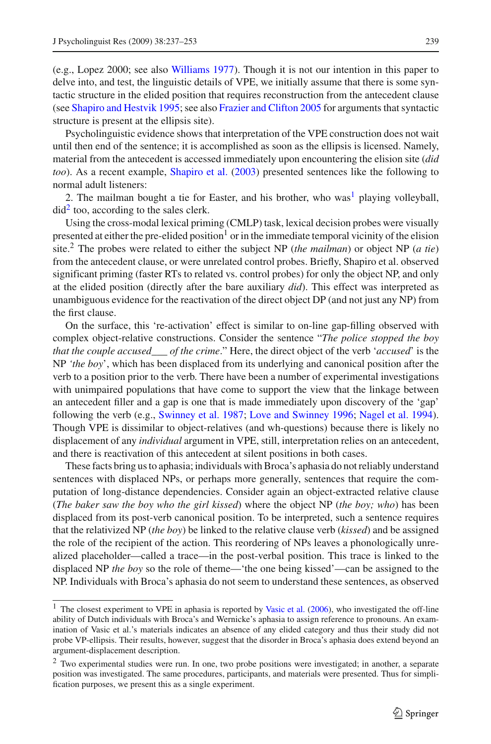(e.g., Lopez 2000; see also [Williams 1977\)](#page-15-5). Though it is not our intention in this paper to delve into, and test, the linguistic details of VPE, we initially assume that there is some syntactic structure in the elided position that requires reconstruction from the antecedent clause (see [Shapiro and Hestvik 1995](#page-15-6); see also [Frazier and Clifton 2005](#page-14-6) for arguments that syntactic structure is present at the ellipsis site).

Psycholinguistic evidence shows that interpretation of the VPE construction does not wait until then end of the sentence; it is accomplished as soon as the ellipsis is licensed. Namely, material from the antecedent is accessed immediately upon encountering the elision site (*did too*). As a recent example, [Shapiro et al.](#page-15-7) [\(2003](#page-15-7)) presented sentences like the following to normal adult listeners:

2. The mailman bought a tie for Easter, and his brother, who was<sup>[1](#page-2-0)</sup> playing volleyball,  $did<sup>2</sup>$  $did<sup>2</sup>$  $did<sup>2</sup>$  too, according to the sales clerk.

Using the cross-modal lexical priming (CMLP) task, lexical decision probes were visually presented at either the pre-elided position<sup>1</sup> or in the immediate temporal vicinity of the elision site.<sup>2</sup> The probes were related to either the subject NP (*the mailman*) or object NP (*a tie*) from the antecedent clause, or were unrelated control probes. Briefly, Shapiro et al. observed significant priming (faster RTs to related vs. control probes) for only the object NP, and only at the elided position (directly after the bare auxiliary *did*). This effect was interpreted as unambiguous evidence for the reactivation of the direct object DP (and not just any NP) from the first clause.

On the surface, this 're-activation' effect is similar to on-line gap-filling observed with complex object-relative constructions. Consider the sentence "*The police stopped the boy that the couple accused\_\_\_ of the crime*." Here, the direct object of the verb '*accused*' is the NP *'the boy*', which has been displaced from its underlying and canonical position after the verb to a position prior to the verb. There have been a number of experimental investigations with unimpaired populations that have come to support the view that the linkage between an antecedent filler and a gap is one that is made immediately upon discovery of the 'gap' following the verb (e.g., [Swinney et al. 1987](#page-15-8); [Love and Swinney 1996](#page-15-9); [Nagel et al. 1994\)](#page-15-10). Though VPE is dissimilar to object-relatives (and wh-questions) because there is likely no displacement of any *individual* argument in VPE, still, interpretation relies on an antecedent, and there is reactivation of this antecedent at silent positions in both cases.

These facts bring us to aphasia; individuals with Broca's aphasia do not reliably understand sentences with displaced NPs, or perhaps more generally, sentences that require the computation of long-distance dependencies. Consider again an object-extracted relative clause (*The baker saw the boy who the girl kissed*) where the object NP (*the boy; who*) has been displaced from its post-verb canonical position. To be interpreted, such a sentence requires that the relativized NP (*the boy*) be linked to the relative clause verb (*kissed*) and be assigned the role of the recipient of the action. This reordering of NPs leaves a phonologically unrealized placeholder—called a trace—in the post-verbal position. This trace is linked to the displaced NP *the boy* so the role of theme—'the one being kissed'—can be assigned to the NP. Individuals with Broca's aphasia do not seem to understand these sentences, as observed

<span id="page-2-0"></span><sup>&</sup>lt;sup>1</sup> The closest experiment to VPE in aphasia is reported by [Vasic et al.](#page-15-11) [\(2006](#page-15-11)), who investigated the off-line ability of Dutch individuals with Broca's and Wernicke's aphasia to assign reference to pronouns. An examination of Vasic et al.'s materials indicates an absence of any elided category and thus their study did not probe VP-ellipsis. Their results, however, suggest that the disorder in Broca's aphasia does extend beyond an argument-displacement description.

<span id="page-2-1"></span><sup>2</sup> Two experimental studies were run. In one, two probe positions were investigated; in another, a separate position was investigated. The same procedures, participants, and materials were presented. Thus for simplification purposes, we present this as a single experiment.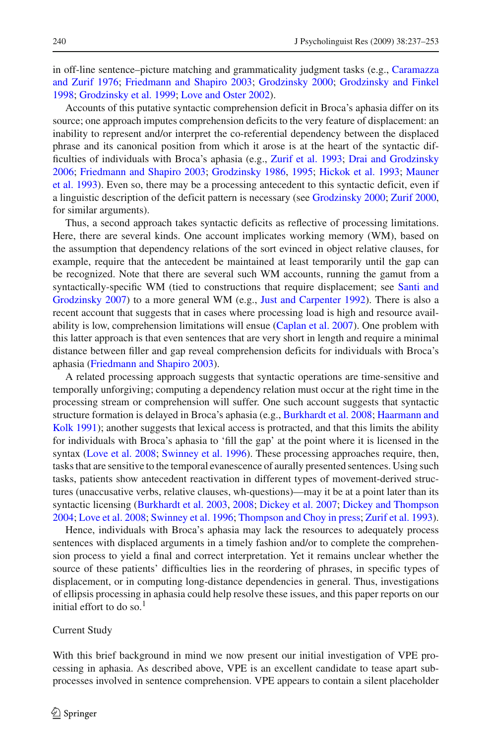in off-lin[e](#page-14-7) [sentence–picture](#page-14-7) [matching](#page-14-7) [and](#page-14-7) [grammaticality](#page-14-7) [judgment](#page-14-7) [tasks](#page-14-7) [\(e.g.,](#page-14-7) Caramazza and Zurif [1976](#page-14-7); [Friedmann and Shapiro 2003;](#page-14-8) [Grodzinsky 2000](#page-14-9); [Grodzinsky and Finkel](#page-14-10) [1998](#page-14-10); [Grodzinsky et al. 1999](#page-14-11); [Love and Oster 2002\)](#page-15-12).

Accounts of this putative syntactic comprehension deficit in Broca's aphasia differ on its source; one approach imputes comprehension deficits to the very feature of displacement: an inability to represent and/or interpret the co-referential dependency between the displaced phrase and its canonical position from which it arose is at the heart of the syntactic difficulties of individuals with Broca's aphasia (e.g., [Zurif et al. 1993](#page-16-0); [Drai and Grodzinsky](#page-14-12) [2006](#page-14-12); [Friedmann and Shapiro 2003](#page-14-8)[;](#page-15-14) [Grodzinsky 1986,](#page-14-13) [1995](#page-14-14); [Hickok et al. 1993;](#page-15-13) Mauner et al. [1993](#page-15-14)). Even so, there may be a processing antecedent to this syntactic deficit, even if a linguistic description of the deficit pattern is necessary (see [Grodzinsky 2000](#page-14-9); [Zurif 2000,](#page-16-1) for similar arguments).

Thus, a second approach takes syntactic deficits as reflective of processing limitations. Here, there are several kinds. One account implicates working memory (WM), based on the assumption that dependency relations of the sort evinced in object relative clauses, for example, require that the antecedent be maintained at least temporarily until the gap can be recognized. Note that there are several such WM accounts, running the gamut from a syntacticall[y-specific](#page-15-15) [WM](#page-15-15) [\(tied](#page-15-15) [to](#page-15-15) [constructions](#page-15-15) [that](#page-15-15) [require](#page-15-15) [displacement;](#page-15-15) [see](#page-15-15) Santi and Grodzinsky [2007](#page-15-15)) to a more general WM (e.g., [Just and Carpenter 1992](#page-15-16)). There is also a recent account that suggests that in cases where processing load is high and resource availability is low, comprehension limitations will ensue [\(Caplan et al. 2007](#page-14-15)). One problem with this latter approach is that even sentences that are very short in length and require a minimal distance between filler and gap reveal comprehension deficits for individuals with Broca's aphasia [\(Friedmann and Shapiro 2003](#page-14-8)).

A related processing approach suggests that syntactic operations are time-sensitive and temporally unforgiving; computing a dependency relation must occur at the right time in the processing stream or comprehension will suffer. One such account suggests that syntactic struc[ture](#page-14-17) [formation](#page-14-17) [is](#page-14-17) [delayed](#page-14-17) [in](#page-14-17) [Broca's](#page-14-17) [aphasia](#page-14-17) [\(e.g.,](#page-14-17) [Burkhardt et al. 2008](#page-14-16); Haarmann and Kolk [1991](#page-14-17)); another suggests that lexical access is protracted, and that this limits the ability for individuals with Broca's aphasia to 'fill the gap' at the point where it is licensed in the syntax [\(Love et al. 2008;](#page-15-17) [Swinney et al. 1996\)](#page-15-18). These processing approaches require, then, tasks that are sensitive to the temporal evanescence of aurally presented sentences. Using such tasks, patients show antecedent reactivation in different types of movement-derived structures (unaccusative verbs, relative clauses, wh-questions)—may it be at a point later than its syntactic licensing [\(Burkhardt et al. 2003,](#page-14-18) [2008](#page-14-16); [Dickey et al. 2007;](#page-14-19) [Dickey and Thompson](#page-14-20) [2004](#page-14-20); [Love et al. 2008;](#page-15-17) [Swinney et al. 1996;](#page-15-18) [Thompson and Choy in press;](#page-15-19) [Zurif et al. 1993\)](#page-16-0).

Hence, individuals with Broca's aphasia may lack the resources to adequately process sentences with displaced arguments in a timely fashion and/or to complete the comprehension process to yield a final and correct interpretation. Yet it remains unclear whether the source of these patients' difficulties lies in the reordering of phrases, in specific types of displacement, or in computing long-distance dependencies in general. Thus, investigations of ellipsis processing in aphasia could help resolve these issues, and this paper reports on our initial effort to do so.<sup>1</sup>

#### Current Study

With this brief background in mind we now present our initial investigation of VPE processing in aphasia. As described above, VPE is an excellent candidate to tease apart subprocesses involved in sentence comprehension. VPE appears to contain a silent placeholder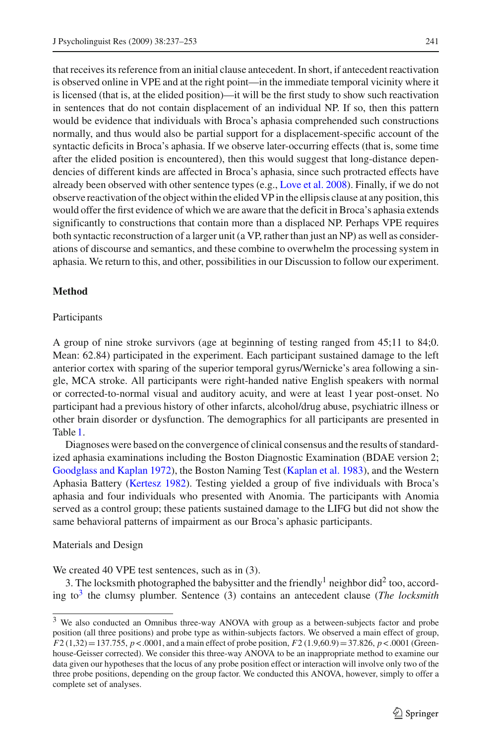that receives its reference from an initial clause antecedent. In short, if antecedent reactivation is observed online in VPE and at the right point—in the immediate temporal vicinity where it is licensed (that is, at the elided position)—it will be the first study to show such reactivation in sentences that do not contain displacement of an individual NP. If so, then this pattern would be evidence that individuals with Broca's aphasia comprehended such constructions normally, and thus would also be partial support for a displacement-specific account of the syntactic deficits in Broca's aphasia. If we observe later-occurring effects (that is, some time after the elided position is encountered), then this would suggest that long-distance dependencies of different kinds are affected in Broca's aphasia, since such protracted effects have already been observed with other sentence types (e.g., [Love et al. 2008\)](#page-15-17). Finally, if we do not observe reactivation of the object within the elided VP in the ellipsis clause at any position, this would offer the first evidence of which we are aware that the deficit in Broca's aphasia extends significantly to constructions that contain more than a displaced NP. Perhaps VPE requires both syntactic reconstruction of a larger unit (a VP, rather than just an NP) as well as considerations of discourse and semantics, and these combine to overwhelm the processing system in aphasia. We return to this, and other, possibilities in our Discussion to follow our experiment.

## **Method**

## Participants

A group of nine stroke survivors (age at beginning of testing ranged from 45;11 to 84;0. Mean: 62.84) participated in the experiment. Each participant sustained damage to the left anterior cortex with sparing of the superior temporal gyrus/Wernicke's area following a single, MCA stroke. All participants were right-handed native English speakers with normal or corrected-to-normal visual and auditory acuity, and were at least 1 year post-onset. No participant had a previous history of other infarcts, alcohol/drug abuse, psychiatric illness or other brain disorder or dysfunction. The demographics for all participants are presented in Table [1.](#page-5-0)

Diagnoses were based on the convergence of clinical consensus and the results of standardized aphasia examinations including the Boston Diagnostic Examination (BDAE version 2; [Goodglass and Kaplan 1972](#page-14-21)), the Boston Naming Test [\(Kaplan et al. 1983](#page-15-20)), and the Western Aphasia Battery [\(Kertesz 1982\)](#page-15-21). Testing yielded a group of five individuals with Broca's aphasia and four individuals who presented with Anomia. The participants with Anomia served as a control group; these patients sustained damage to the LIFG but did not show the same behavioral patterns of impairment as our Broca's aphasic participants.

# Materials and Design

We created 40 VPE test sentences, such as in  $(3)$ .

3. The locksmith photographed the babysitter and the friendly<sup>1</sup> neighbor did<sup>2</sup> too, according to[3](#page-4-0) the clumsy plumber. Sentence (3) contains an antecedent clause (*The locksmith*

<span id="page-4-0"></span><sup>&</sup>lt;sup>3</sup> We also conducted an Omnibus three-way ANOVA with group as a between-subjects factor and probe position (all three positions) and probe type as within-subjects factors. We observed a main effect of group, *F*2 (1,32)=137.755, *p* < .0001, and a main effect of probe position, *F*2 (1.9,60.9)=37.826, *p* < .0001 (Greenhouse-Geisser corrected). We consider this three-way ANOVA to be an inappropriate method to examine our data given our hypotheses that the locus of any probe position effect or interaction will involve only two of the three probe positions, depending on the group factor. We conducted this ANOVA, however, simply to offer a complete set of analyses.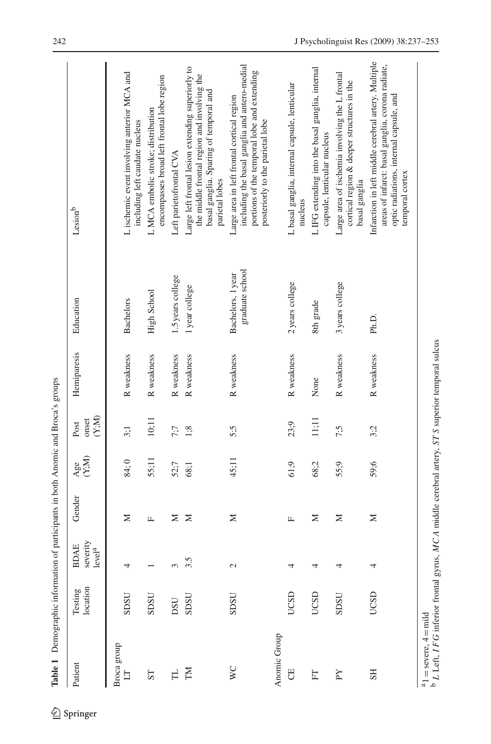| Table 1 Demographic information |                     |                                                    | of participants in both Anomic and Broca's groups |              |                        |             |                                      |                                                                                                                                                                                |
|---------------------------------|---------------------|----------------------------------------------------|---------------------------------------------------|--------------|------------------------|-------------|--------------------------------------|--------------------------------------------------------------------------------------------------------------------------------------------------------------------------------|
| Patient                         | location<br>Testing | ${\rm severity}$ level <sup>a</sup><br><b>BDAE</b> | Gender                                            | (Y;M)<br>Age | (Y;M)<br>onset<br>Post | Hemiparesis | Education                            | Lesion <sup>b</sup>                                                                                                                                                            |
| Broca group<br>$\Box$           | SDSU                | 4                                                  | z                                                 | 84;0         | 3;1                    | R weakness  | <b>Bachelors</b>                     | L ischemic event involving anterior MCA and<br>including left caudate nucleus                                                                                                  |
| S <sub>T</sub>                  | SDSU                |                                                    | Щ                                                 | 55;11        | 10;11                  | R weakness  | High School                          | encompasses broad left frontal lobe region<br>L MCA embolic stroke; distribution                                                                                               |
| $\mathbb H$                     | DSU                 | 3                                                  | z                                                 | 52;7         | 7;7                    | R weakness  | 1.5 years college                    | Left parietofrontal CVA                                                                                                                                                        |
| ZМ                              | <b>OSCIS</b>        | 3.5                                                | z                                                 | 68;1         | 1;8                    | R weakness  | 1 year college                       | Large left frontal lesion extending superiorly to<br>the middle frontal region and involving the<br>basal ganglia. Sparing of temporal and<br>parietal lobes                   |
| VC                              | <b>SDSU</b>         | 2                                                  | z                                                 | 45;11        | 5;5                    | R weakness  | graduate school<br>Bachelors, 1 year | including the basal ganglia and antero-medial<br>portions of the temporal lobe and extending<br>Large area in left frontal cortical region<br>posteriorly to the parietal lobe |
| Anomic Group                    |                     |                                                    |                                                   |              |                        |             |                                      |                                                                                                                                                                                |
| 5                               | UCSD                | 4                                                  | Щ                                                 | 61;9         | 23;9                   | R weakness  | 2 years college                      | L basal ganglia, internal capsule, lenticular<br>nucleus                                                                                                                       |
| 日                               | UCSD                | 4                                                  | Σ                                                 | 68;2         | 11;11                  | None        | 8th grade                            | L IFG extending into the basal ganglia, internal<br>capsule, lenticular nucleus                                                                                                |
| ΡY                              | <b>SDSU</b>         | 4                                                  | Σ                                                 | 55;9         | 7:5                    | R weakness  | 3 years college                      | Large area of ischemia involving the L frontal<br>cortical region & deeper structures in the<br>basal ganglia                                                                  |
| <b>SH</b>                       | UCSD                | 4                                                  | Σ                                                 | 59;6         | 3:2                    | R weakness  | Ph.D.                                | Infarction in left middle cerebral artery. Multiple<br>areas of infarct: basal ganglia, corona radiate,<br>optic radiations, internal capsule, and<br>temporal cortex          |
|                                 |                     |                                                    |                                                   |              |                        |             |                                      |                                                                                                                                                                                |

<span id="page-5-0"></span>

 $a_1$  = severe, 4  $=$  mild

ع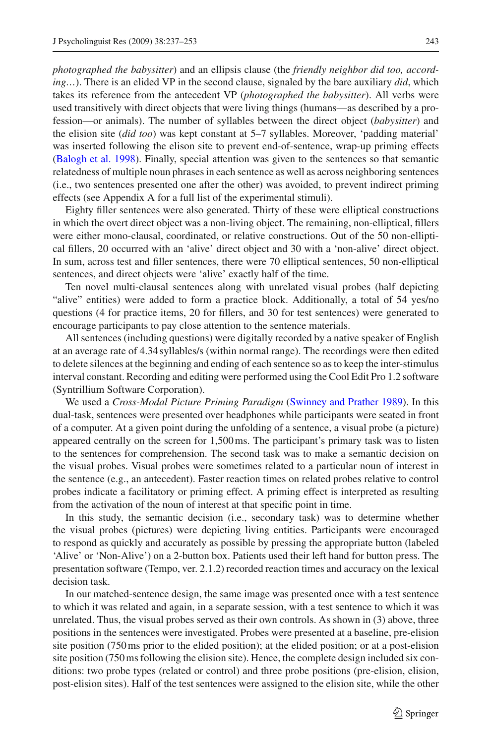*photographed the babysitter*) and an ellipsis clause (the *friendly neighbor did too, according…*). There is an elided VP in the second clause, signaled by the bare auxiliary *did*, which takes its reference from the antecedent VP (*photographed the babysitter*). All verbs were used transitively with direct objects that were living things (humans—as described by a profession—or animals). The number of syllables between the direct object (*babysitter*) and the elision site (*did too*) was kept constant at 5–7 syllables. Moreover, 'padding material' was inserted following the elison site to prevent end-of-sentence, wrap-up priming effects [\(Balogh et al. 1998](#page-14-22)). Finally, special attention was given to the sentences so that semantic relatedness of multiple noun phrases in each sentence as well as across neighboring sentences (i.e., two sentences presented one after the other) was avoided, to prevent indirect priming effects (see Appendix A for a full list of the experimental stimuli).

Eighty filler sentences were also generated. Thirty of these were elliptical constructions in which the overt direct object was a non-living object. The remaining, non-elliptical, fillers were either mono-clausal, coordinated, or relative constructions. Out of the 50 non-elliptical fillers, 20 occurred with an 'alive' direct object and 30 with a 'non-alive' direct object. In sum, across test and filler sentences, there were 70 elliptical sentences, 50 non-elliptical sentences, and direct objects were 'alive' exactly half of the time.

Ten novel multi-clausal sentences along with unrelated visual probes (half depicting "alive" entities) were added to form a practice block. Additionally, a total of 54 yes/no questions (4 for practice items, 20 for fillers, and 30 for test sentences) were generated to encourage participants to pay close attention to the sentence materials.

All sentences (including questions) were digitally recorded by a native speaker of English at an average rate of 4.34 syllables/s (within normal range). The recordings were then edited to delete silences at the beginning and ending of each sentence so as to keep the inter-stimulus interval constant. Recording and editing were performed using the Cool Edit Pro 1.2 software (Syntrillium Software Corporation).

We used a *Cross-Modal Picture Priming Paradigm* [\(Swinney and Prather 1989\)](#page-15-22). In this dual-task, sentences were presented over headphones while participants were seated in front of a computer. At a given point during the unfolding of a sentence, a visual probe (a picture) appeared centrally on the screen for 1,500ms. The participant's primary task was to listen to the sentences for comprehension. The second task was to make a semantic decision on the visual probes. Visual probes were sometimes related to a particular noun of interest in the sentence (e.g., an antecedent). Faster reaction times on related probes relative to control probes indicate a facilitatory or priming effect. A priming effect is interpreted as resulting from the activation of the noun of interest at that specific point in time.

In this study, the semantic decision (i.e., secondary task) was to determine whether the visual probes (pictures) were depicting living entities. Participants were encouraged to respond as quickly and accurately as possible by pressing the appropriate button (labeled 'Alive' or 'Non-Alive') on a 2-button box. Patients used their left hand for button press. The presentation software (Tempo, ver. 2.1.2) recorded reaction times and accuracy on the lexical decision task.

In our matched-sentence design, the same image was presented once with a test sentence to which it was related and again, in a separate session, with a test sentence to which it was unrelated. Thus, the visual probes served as their own controls. As shown in (3) above, three positions in the sentences were investigated. Probes were presented at a baseline, pre-elision site position (750ms prior to the elided position); at the elided position; or at a post-elision site position (750ms following the elision site). Hence, the complete design included six conditions: two probe types (related or control) and three probe positions (pre-elision, elision, post-elision sites). Half of the test sentences were assigned to the elision site, while the other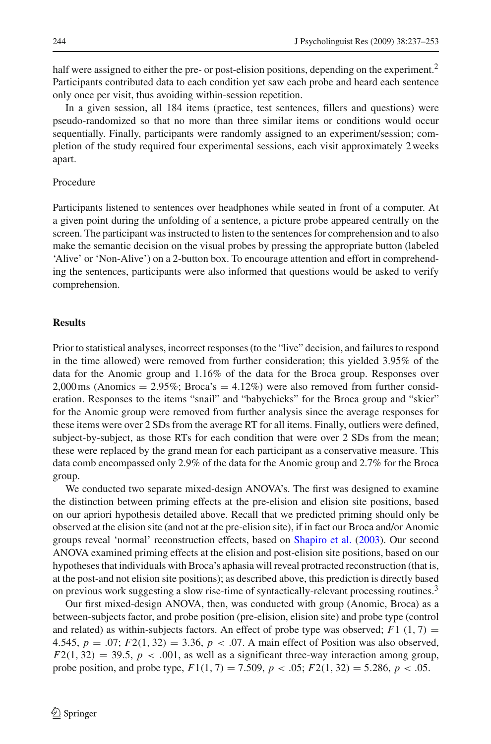half were assigned to either the pre- or post-elision positions, depending on the experiment.<sup>2</sup> Participants contributed data to each condition yet saw each probe and heard each sentence only once per visit, thus avoiding within-session repetition.

In a given session, all 184 items (practice, test sentences, fillers and questions) were pseudo-randomized so that no more than three similar items or conditions would occur sequentially. Finally, participants were randomly assigned to an experiment/session; completion of the study required four experimental sessions, each visit approximately 2 weeks apart.

#### Procedure

Participants listened to sentences over headphones while seated in front of a computer. At a given point during the unfolding of a sentence, a picture probe appeared centrally on the screen. The participant was instructed to listen to the sentences for comprehension and to also make the semantic decision on the visual probes by pressing the appropriate button (labeled 'Alive' or 'Non-Alive') on a 2-button box. To encourage attention and effort in comprehending the sentences, participants were also informed that questions would be asked to verify comprehension.

#### **Results**

Prior to statistical analyses, incorrect responses (to the "live" decision, and failures to respond in the time allowed) were removed from further consideration; this yielded 3.95% of the data for the Anomic group and 1.16% of the data for the Broca group. Responses over 2,000 ms (Anomics = 2.95%; Broca's =  $4.12%$ ) were also removed from further consideration. Responses to the items "snail" and "babychicks" for the Broca group and "skier" for the Anomic group were removed from further analysis since the average responses for these items were over 2 SDs from the average RT for all items. Finally, outliers were defined, subject-by-subject, as those RTs for each condition that were over 2 SDs from the mean; these were replaced by the grand mean for each participant as a conservative measure. This data comb encompassed only 2.9% of the data for the Anomic group and 2.7% for the Broca group.

We conducted two separate mixed-design ANOVA's. The first was designed to examine the distinction between priming effects at the pre-elision and elision site positions, based on our apriori hypothesis detailed above. Recall that we predicted priming should only be observed at the elision site (and not at the pre-elision site), if in fact our Broca and/or Anomic groups reveal 'normal' reconstruction effects, based on [Shapiro et al.](#page-15-7) [\(2003](#page-15-7)). Our second ANOVA examined priming effects at the elision and post-elision site positions, based on our hypotheses that individuals with Broca's aphasia will reveal protracted reconstruction (that is, at the post-and not elision site positions); as described above, this prediction is directly based on previous work suggesting a slow rise-time of syntactically-relevant processing routines.<sup>3</sup>

Our first mixed-design ANOVA, then, was conducted with group (Anomic, Broca) as a between-subjects factor, and probe position (pre-elision, elision site) and probe type (control and related) as within-subjects factors. An effect of probe type was observed;  $F1$  (1, 7) = 4*.*545, *p* = *.*07; *F*2*(*1*,* 32*)* = 3*.*36, *p < .*07. A main effect of Position was also observed,  $F2(1, 32) = 39.5$ ,  $p < .001$ , as well as a significant three-way interaction among group, probe position, and probe type,  $F1(1, 7) = 7.509$ ,  $p < .05$ ;  $F2(1, 32) = 5.286$ ,  $p < .05$ .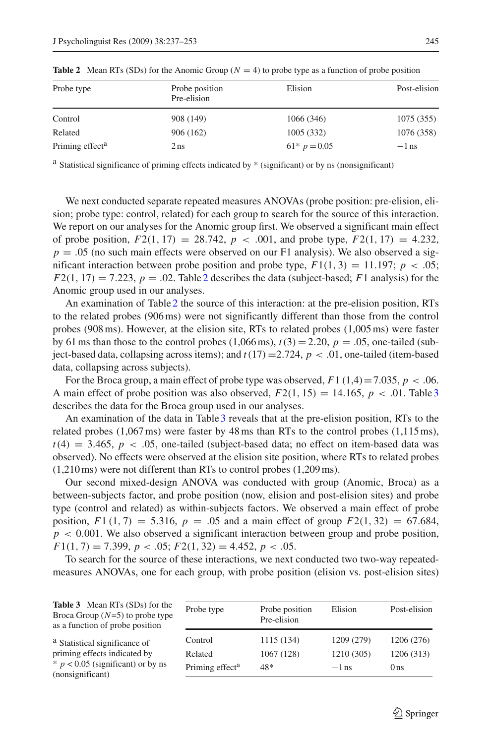| Probe type                  | Probe position<br>Pre-elision | Elision         | Post-elision |
|-----------------------------|-------------------------------|-----------------|--------------|
| Control                     | 908 (149)                     | 1066 (346)      | 1075(355)    |
| Related                     | 906 (162)                     | 1005 (332)      | 1076 (358)   |
| Priming effect <sup>a</sup> | 2 <sub>ns</sub>               | $61^* p = 0.05$ | $-1$ ns      |
|                             |                               |                 |              |

<span id="page-8-0"></span>**Table 2** Mean RTs (SDs) for the Anomic Group ( $N = 4$ ) to probe type as a function of probe position

a Statistical significance of priming effects indicated by \* (significant) or by ns (nonsignificant)

We next conducted separate repeated measures ANOVAs (probe position: pre-elision, elision; probe type: control, related) for each group to search for the source of this interaction. We report on our analyses for the Anomic group first. We observed a significant main effect of probe position,  $F2(1, 17) = 28.742$ ,  $p < .001$ , and probe type,  $F2(1, 17) = 4.232$ ,  $p = .05$  (no such main effects were observed on our F1 analysis). We also observed a significant interaction between probe position and probe type,  $F1(1, 3) = 11.197$ ;  $p < .05$ ;  $F2(1, 17) = 7.223$  $F2(1, 17) = 7.223$  $F2(1, 17) = 7.223$ ,  $p = .02$ . Table 2 describes the data (subject-based; *F*1 analysis) for the Anomic group used in our analyses.

An examination of Table [2](#page-8-0) the source of this interaction: at the pre-elision position, RTs to the related probes (906ms) were not significantly different than those from the control probes (908ms). However, at the elision site, RTs to related probes (1,005ms) were faster by 61 ms than those to the control probes  $(1,066 \text{ ms})$ ,  $t(3) = 2.20$ ,  $p = .05$ , one-tailed (subject-based data, collapsing across items); and *t(*17*)* =2*.*724, *p < .*01, one-tailed (item-based data, collapsing across subjects).

For the Broca group, a main effect of probe type was observed,  $F1(1,4) = 7.035$ ,  $p < .06$ . A main effect of probe position was also observed,  $F2(1, 15) = 14.165$ ,  $p < .01$ . Table [3](#page-8-1) describes the data for the Broca group used in our analyses.

An examination of the data in Table [3](#page-8-1) reveals that at the pre-elision position, RTs to the related probes  $(1,067 \text{ ms})$  were faster by 48 ms than RTs to the control probes  $(1,115 \text{ ms})$ ,  $t(4) = 3.465$ ,  $p < .05$ , one-tailed (subject-based data; no effect on item-based data was observed). No effects were observed at the elision site position, where RTs to related probes (1,210ms) were not different than RTs to control probes (1,209ms).

Our second mixed-design ANOVA was conducted with group (Anomic, Broca) as a between-subjects factor, and probe position (now, elision and post-elision sites) and probe type (control and related) as within-subjects factors. We observed a main effect of probe position,  $F1(1, 7) = 5.316$ ,  $p = .05$  and a main effect of group  $F2(1, 32) = 67.684$ , *p <* 0*.*001. We also observed a significant interaction between group and probe position,  $F1(1, 7) = 7.399$ ,  $p < .05$ ;  $F2(1, 32) = 4.452$ ,  $p < .05$ .

To search for the source of these interactions, we next conducted two two-way repeatedmeasures ANOVAs, one for each group, with probe position (elision vs. post-elision sites)

<span id="page-8-1"></span>

| <b>Table 3</b> Mean RTs (SDs) for the<br>Broca Group $(N=5)$ to probe type<br>as a function of probe position | Probe type                  | Probe position<br>Pre-elision | Elision    | Post-elision    |
|---------------------------------------------------------------------------------------------------------------|-----------------------------|-------------------------------|------------|-----------------|
| <sup>a</sup> Statistical significance of                                                                      | Control                     | 1115 (134)                    | 1209 (279) | 1206 (276)      |
| priming effects indicated by                                                                                  | Related                     | 1067 (128)                    | 1210 (305) | 1206 (313)      |
| $* p < 0.05$ (significant) or by ns<br>(nonsignificant)                                                       | Priming effect <sup>a</sup> | $48*$                         | $-1$ ns    | 0 <sub>ns</sub> |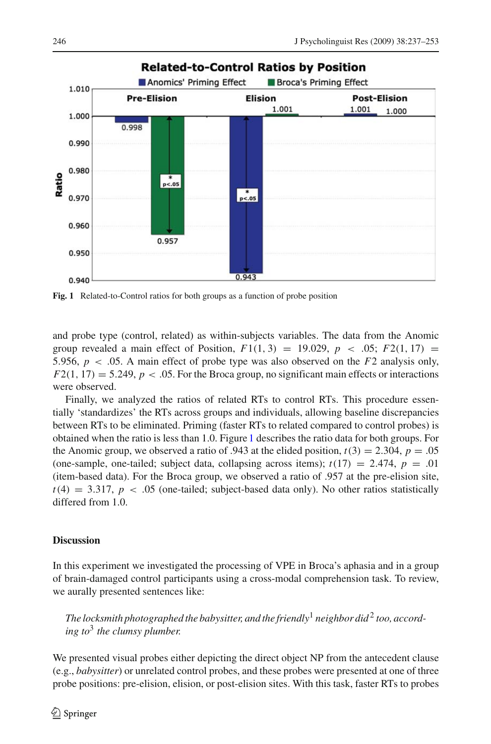

<span id="page-9-0"></span>**Fig. 1** Related-to-Control ratios for both groups as a function of probe position

and probe type (control, related) as within-subjects variables. The data from the Anomic group revealed a main effect of Position,  $F1(1, 3) = 19.029$ ,  $p < .05$ ;  $F2(1, 17) =$ 5*.*956, *p < .*05. A main effect of probe type was also observed on the *F*2 analysis only,  $F2(1, 17) = 5.249$ ,  $p < .05$ . For the Broca group, no significant main effects or interactions were observed.

Finally, we analyzed the ratios of related RTs to control RTs. This procedure essentially 'standardizes' the RTs across groups and individuals, allowing baseline discrepancies between RTs to be eliminated. Priming (faster RTs to related compared to control probes) is obtained when the ratio is less than 1.0. Figure [1](#page-9-0) describes the ratio data for both groups. For the Anomic group, we observed a ratio of .943 at the elided position,  $t(3) = 2.304$ ,  $p = .05$ (one-sample, one-tailed; subject data, collapsing across items);  $t(17) = 2.474$ ,  $p = .01$ (item-based data). For the Broca group, we observed a ratio of .957 at the pre-elision site,  $t(4) = 3.317$ ,  $p < .05$  (one-tailed; subject-based data only). No other ratios statistically differed from 1.0.

# **Discussion**

In this experiment we investigated the processing of VPE in Broca's aphasia and in a group of brain-damaged control participants using a cross-modal comprehension task. To review, we aurally presented sentences like:

The locksmith photographed the babysitter, and the friendly<sup>1</sup> neighbor did<sup>2</sup> too, accord*ing to*<sup>3</sup> *the clumsy plumber.*

We presented visual probes either depicting the direct object NP from the antecedent clause (e.g., *babysitter*) or unrelated control probes, and these probes were presented at one of three probe positions: pre-elision, elision, or post-elision sites. With this task, faster RTs to probes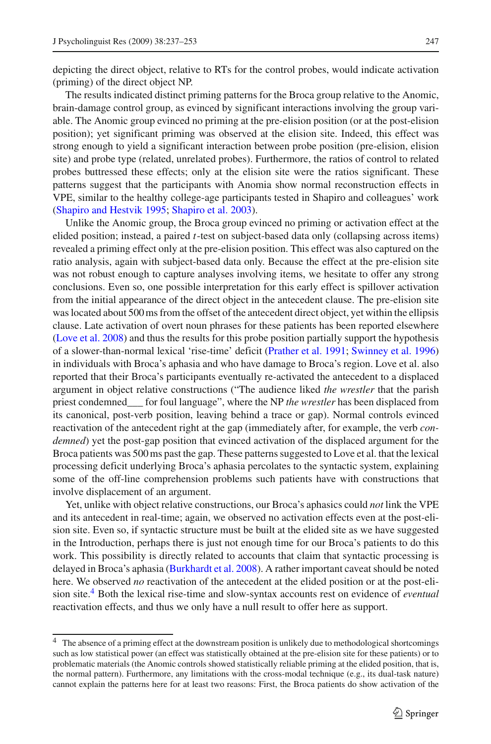depicting the direct object, relative to RTs for the control probes, would indicate activation (priming) of the direct object NP.

The results indicated distinct priming patterns for the Broca group relative to the Anomic, brain-damage control group, as evinced by significant interactions involving the group variable. The Anomic group evinced no priming at the pre-elision position (or at the post-elision position); yet significant priming was observed at the elision site. Indeed, this effect was strong enough to yield a significant interaction between probe position (pre-elision, elision site) and probe type (related, unrelated probes). Furthermore, the ratios of control to related probes buttressed these effects; only at the elision site were the ratios significant. These patterns suggest that the participants with Anomia show normal reconstruction effects in VPE, similar to the healthy college-age participants tested in Shapiro and colleagues' work [\(Shapiro and Hestvik 1995;](#page-15-6) [Shapiro et al. 2003](#page-15-7)).

Unlike the Anomic group, the Broca group evinced no priming or activation effect at the elided position; instead, a paired *t*-test on subject-based data only (collapsing across items) revealed a priming effect only at the pre-elision position. This effect was also captured on the ratio analysis, again with subject-based data only. Because the effect at the pre-elision site was not robust enough to capture analyses involving items, we hesitate to offer any strong conclusions. Even so, one possible interpretation for this early effect is spillover activation from the initial appearance of the direct object in the antecedent clause. The pre-elision site was located about 500ms from the offset of the antecedent direct object, yet within the ellipsis clause. Late activation of overt noun phrases for these patients has been reported elsewhere [\(Love et al. 2008\)](#page-15-17) and thus the results for this probe position partially support the hypothesis of a slower-than-normal lexical 'rise-time' deficit [\(Prather et al. 1991;](#page-15-23) [Swinney et al. 1996\)](#page-15-18) in individuals with Broca's aphasia and who have damage to Broca's region. Love et al. also reported that their Broca's participants eventually re-activated the antecedent to a displaced argument in object relative constructions ("The audience liked *the wrestler* that the parish priest condemned\_\_\_ for foul language", where the NP *the wrestler* has been displaced from its canonical, post-verb position, leaving behind a trace or gap). Normal controls evinced reactivation of the antecedent right at the gap (immediately after, for example, the verb *condemned*) yet the post-gap position that evinced activation of the displaced argument for the Broca patients was 500ms past the gap. These patterns suggested to Love et al. that the lexical processing deficit underlying Broca's aphasia percolates to the syntactic system, explaining some of the off-line comprehension problems such patients have with constructions that involve displacement of an argument.

Yet, unlike with object relative constructions, our Broca's aphasics could *not* link the VPE and its antecedent in real-time; again, we observed no activation effects even at the post-elision site. Even so, if syntactic structure must be built at the elided site as we have suggested in the Introduction, perhaps there is just not enough time for our Broca's patients to do this work. This possibility is directly related to accounts that claim that syntactic processing is delayed in Broca's aphasia [\(Burkhardt et al. 2008](#page-14-16)). A rather important caveat should be noted here. We observed *no* reactivation of the antecedent at the elided position or at the post-elision site.[4](#page-10-0) Both the lexical rise-time and slow-syntax accounts rest on evidence of *eventual* reactivation effects, and thus we only have a null result to offer here as support.

<span id="page-10-0"></span><sup>&</sup>lt;sup>4</sup> The absence of a priming effect at the downstream position is unlikely due to methodological shortcomings such as low statistical power (an effect was statistically obtained at the pre-elision site for these patients) or to problematic materials (the Anomic controls showed statistically reliable priming at the elided position, that is, the normal pattern). Furthermore, any limitations with the cross-modal technique (e.g., its dual-task nature) cannot explain the patterns here for at least two reasons: First, the Broca patients do show activation of the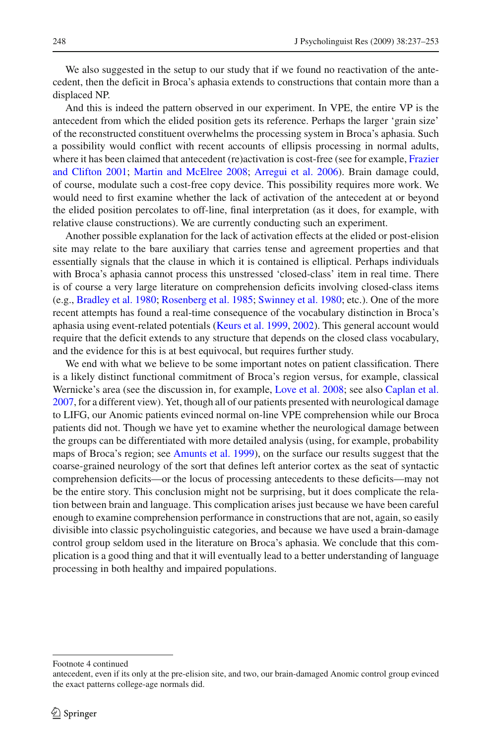We also suggested in the setup to our study that if we found no reactivation of the antecedent, then the deficit in Broca's aphasia extends to constructions that contain more than a displaced NP.

And this is indeed the pattern observed in our experiment. In VPE, the entire VP is the antecedent from which the elided position gets its reference. Perhaps the larger 'grain size' of the reconstructed constituent overwhelms the processing system in Broca's aphasia. Such a possibility would conflict with recent accounts of ellipsis processing in normal adults, where it ha[s](#page-14-23) [been](#page-14-23) [claimed](#page-14-23) [that](#page-14-23) [antecedent](#page-14-23) [\(re\)activation](#page-14-23) [is](#page-14-23) [cost-free](#page-14-23) [\(see](#page-14-23) [for](#page-14-23) [example,](#page-14-23) Frazier and Clifton [2001;](#page-14-23) [Martin and McElree 2008;](#page-15-24) [Arregui et al. 2006\)](#page-14-24). Brain damage could, of course, modulate such a cost-free copy device. This possibility requires more work. We would need to first examine whether the lack of activation of the antecedent at or beyond the elided position percolates to off-line, final interpretation (as it does, for example, with relative clause constructions). We are currently conducting such an experiment.

Another possible explanation for the lack of activation effects at the elided or post-elision site may relate to the bare auxiliary that carries tense and agreement properties and that essentially signals that the clause in which it is contained is elliptical. Perhaps individuals with Broca's aphasia cannot process this unstressed 'closed-class' item in real time. There is of course a very large literature on comprehension deficits involving closed-class items (e.g., [Bradley et al. 1980;](#page-14-25) [Rosenberg et al. 1985;](#page-15-25) [Swinney et al. 1980;](#page-15-26) etc.). One of the more recent attempts has found a real-time consequence of the vocabulary distinction in Broca's aphasia using event-related potentials [\(Keurs et al. 1999,](#page-15-27) [2002](#page-15-28)). This general account would require that the deficit extends to any structure that depends on the closed class vocabulary, and the evidence for this is at best equivocal, but requires further study.

We end with what we believe to be some important notes on patient classification. There is a likely distinct functional commitment of Broca's region versus, for example, classical Wernicke's area (see the discussion in, for example, [Love et al. 2008;](#page-15-17) see also [Caplan et al.](#page-14-15) [2007](#page-14-15), for a different view). Yet, though all of our patients presented with neurological damage to LIFG, our Anomic patients evinced normal on-line VPE comprehension while our Broca patients did not. Though we have yet to examine whether the neurological damage between the groups can be differentiated with more detailed analysis (using, for example, probability maps of Broca's region; see [Amunts et al. 1999\)](#page-13-0), on the surface our results suggest that the coarse-grained neurology of the sort that defines left anterior cortex as the seat of syntactic comprehension deficits—or the locus of processing antecedents to these deficits—may not be the entire story. This conclusion might not be surprising, but it does complicate the relation between brain and language. This complication arises just because we have been careful enough to examine comprehension performance in constructions that are not, again, so easily divisible into classic psycholinguistic categories, and because we have used a brain-damage control group seldom used in the literature on Broca's aphasia. We conclude that this complication is a good thing and that it will eventually lead to a better understanding of language processing in both healthy and impaired populations.

Footnote 4 continued

antecedent, even if its only at the pre-elision site, and two, our brain-damaged Anomic control group evinced the exact patterns college-age normals did.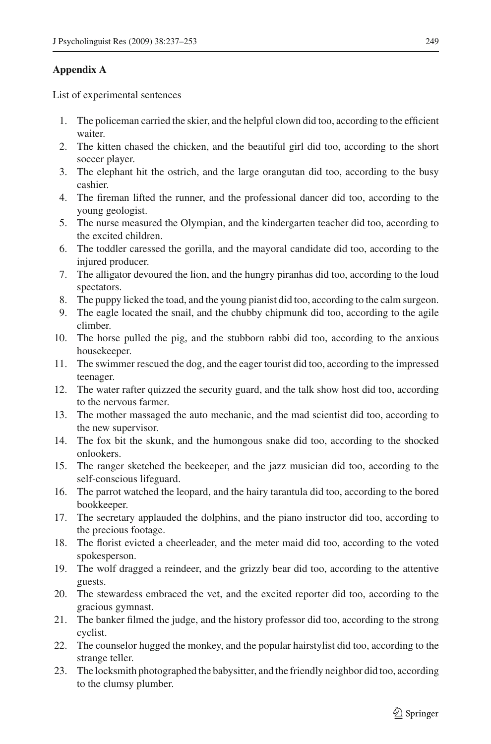## **Appendix A**

List of experimental sentences

- 1. The policeman carried the skier, and the helpful clown did too, according to the efficient waiter.
- 2. The kitten chased the chicken, and the beautiful girl did too, according to the short soccer player.
- 3. The elephant hit the ostrich, and the large orangutan did too, according to the busy cashier.
- 4. The fireman lifted the runner, and the professional dancer did too, according to the young geologist.
- 5. The nurse measured the Olympian, and the kindergarten teacher did too, according to the excited children.
- 6. The toddler caressed the gorilla, and the mayoral candidate did too, according to the injured producer.
- 7. The alligator devoured the lion, and the hungry piranhas did too, according to the loud spectators.
- 8. The puppy licked the toad, and the young pianist did too, according to the calm surgeon.
- 9. The eagle located the snail, and the chubby chipmunk did too, according to the agile climber.
- 10. The horse pulled the pig, and the stubborn rabbi did too, according to the anxious housekeeper.
- 11. The swimmer rescued the dog, and the eager tourist did too, according to the impressed teenager.
- 12. The water rafter quizzed the security guard, and the talk show host did too, according to the nervous farmer.
- 13. The mother massaged the auto mechanic, and the mad scientist did too, according to the new supervisor.
- 14. The fox bit the skunk, and the humongous snake did too, according to the shocked onlookers.
- 15. The ranger sketched the beekeeper, and the jazz musician did too, according to the self-conscious lifeguard.
- 16. The parrot watched the leopard, and the hairy tarantula did too, according to the bored bookkeeper.
- 17. The secretary applauded the dolphins, and the piano instructor did too, according to the precious footage.
- 18. The florist evicted a cheerleader, and the meter maid did too, according to the voted spokesperson.
- 19. The wolf dragged a reindeer, and the grizzly bear did too, according to the attentive guests.
- 20. The stewardess embraced the vet, and the excited reporter did too, according to the gracious gymnast.
- 21. The banker filmed the judge, and the history professor did too, according to the strong cyclist.
- 22. The counselor hugged the monkey, and the popular hairstylist did too, according to the strange teller.
- 23. The locksmith photographed the babysitter, and the friendly neighbor did too, according to the clumsy plumber.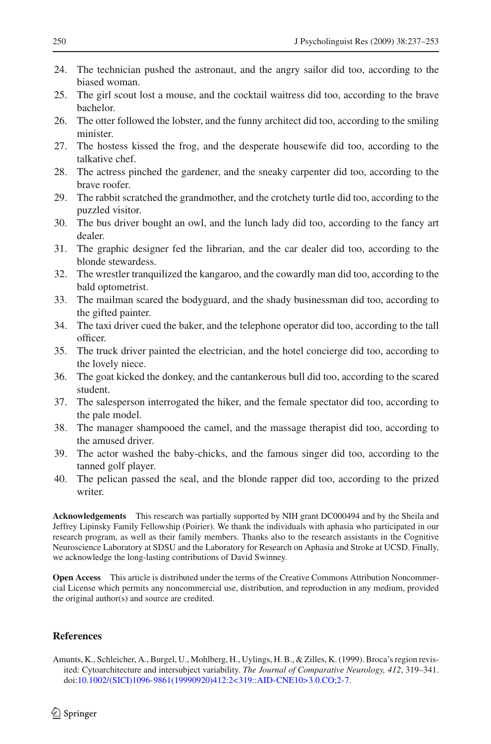- 24. The technician pushed the astronaut, and the angry sailor did too, according to the biased woman.
- 25. The girl scout lost a mouse, and the cocktail waitress did too, according to the brave bachelor.
- 26. The otter followed the lobster, and the funny architect did too, according to the smiling minister.
- 27. The hostess kissed the frog, and the desperate housewife did too, according to the talkative chef.
- 28. The actress pinched the gardener, and the sneaky carpenter did too, according to the brave roofer.
- 29. The rabbit scratched the grandmother, and the crotchety turtle did too, according to the puzzled visitor.
- 30. The bus driver bought an owl, and the lunch lady did too, according to the fancy art dealer.
- 31. The graphic designer fed the librarian, and the car dealer did too, according to the blonde stewardess.
- 32. The wrestler tranquilized the kangaroo, and the cowardly man did too, according to the bald optometrist.
- 33. The mailman scared the bodyguard, and the shady businessman did too, according to the gifted painter.
- 34. The taxi driver cued the baker, and the telephone operator did too, according to the tall officer.
- 35. The truck driver painted the electrician, and the hotel concierge did too, according to the lovely niece.
- 36. The goat kicked the donkey, and the cantankerous bull did too, according to the scared student.
- 37. The salesperson interrogated the hiker, and the female spectator did too, according to the pale model.
- 38. The manager shampooed the camel, and the massage therapist did too, according to the amused driver.
- 39. The actor washed the baby-chicks, and the famous singer did too, according to the tanned golf player.
- 40. The pelican passed the seal, and the blonde rapper did too, according to the prized writer.

**Acknowledgements** This research was partially supported by NIH grant DC000494 and by the Sheila and Jeffrey Lipinsky Family Fellowship (Poirier). We thank the individuals with aphasia who participated in our research program, as well as their family members. Thanks also to the research assistants in the Cognitive Neuroscience Laboratory at SDSU and the Laboratory for Research on Aphasia and Stroke at UCSD. Finally, we acknowledge the long-lasting contributions of David Swinney.

**Open Access** This article is distributed under the terms of the Creative Commons Attribution Noncommercial License which permits any noncommercial use, distribution, and reproduction in any medium, provided the original author(s) and source are credited.

# **References**

<span id="page-13-0"></span>Amunts, K., Schleicher, A., Burgel, U., Mohlberg, H., Uylings, H. B., & Zilles, K. (1999). Broca's region revisited: Cytoarchitecture and intersubject variability. *The Journal of Comparative Neurology, 412*, 319–341. doi[:10.1002/\(SICI\)1096-9861\(19990920\)412:2<319::AID-CNE10>3.0.CO;2-7.](http://dx.doi.org/10.1002/(SICI)1096-9861(19990920)412:2<319::AID-CNE10>3.0.CO;2-7)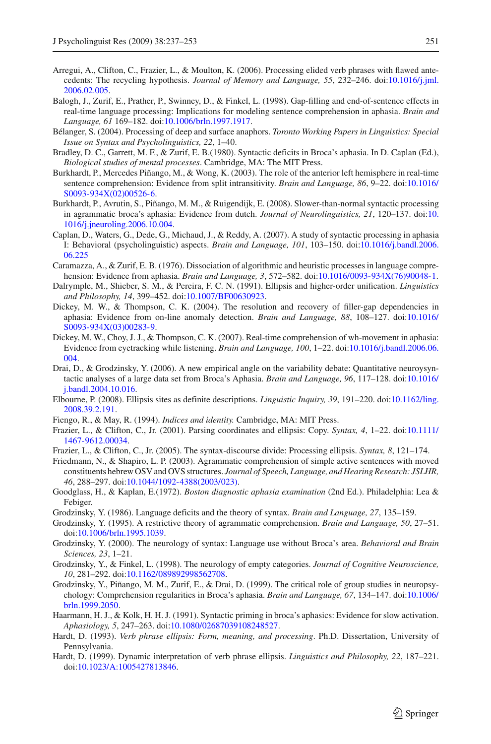- <span id="page-14-24"></span>Arregui, A., Clifton, C., Frazier, L., & Moulton, K. (2006). Processing elided verb phrases with flawed antecedents: The recycling hypothesis. *Journal of Memory and Language, 55*, 232–246. doi[:10.1016/j.jml.](http://dx.doi.org/10.1016/j.jml.2006.02.005) [2006.02.005.](http://dx.doi.org/10.1016/j.jml.2006.02.005)
- <span id="page-14-22"></span>Balogh, J., Zurif, E., Prather, P., Swinney, D., & Finkel, L. (1998). Gap-filling and end-of-sentence effects in real-time language processing: Implications for modeling sentence comprehension in aphasia. *Brain and Language, 61* 169–182. doi[:10.1006/brln.1997.1917.](http://dx.doi.org/10.1006/brln.1997.1917)
- <span id="page-14-0"></span>Bélanger, S. (2004). Processing of deep and surface anaphors. *Toronto Working Papers in Linguistics: Special Issue on Syntax and Psycholinguistics, 22*, 1–40.
- <span id="page-14-25"></span>Bradley, D. C., Garrett, M. F., & Zurif, E. B.(1980). Syntactic deficits in Broca's aphasia. In D. Caplan (Ed.), *Biological studies of mental processes*. Cambridge, MA: The MIT Press.
- <span id="page-14-18"></span>Burkhardt, P., Mercedes Piñango, M., & Wong, K. (2003). The role of the anterior left hemisphere in real-time sentence comprehension: Evidence from split intransitivity. *Brain and Language, 86*, 9–22. doi[:10.1016/](http://dx.doi.org/10.1016/S0093-934X(02)00526-6) [S0093-934X\(02\)00526-6.](http://dx.doi.org/10.1016/S0093-934X(02)00526-6)
- <span id="page-14-16"></span>Burkhardt, P., Avrutin, S., Piñango, M. M., & Ruigendijk, E. (2008). Slower-than-normal syntactic processing in agrammatic broca's aphasia: Evidence from dutch. *Journal of Neurolinguistics, 21*, 120–137. doi[:10.](http://dx.doi.org/10.1016/j.jneuroling.2006.10.004) [1016/j.jneuroling.2006.10.004.](http://dx.doi.org/10.1016/j.jneuroling.2006.10.004)
- <span id="page-14-15"></span>Caplan, D., Waters, G., Dede, G., Michaud, J., & Reddy, A. (2007). A study of syntactic processing in aphasia I: Behavioral (psycholinguistic) aspects. *Brain and Language, 101*, 103–150. doi[:10.1016/j.bandl.2006.](http://dx.doi.org/10.1016/j.bandl.2006.06.225) [06.225](http://dx.doi.org/10.1016/j.bandl.2006.06.225)
- <span id="page-14-7"></span>Caramazza, A., & Zurif, E. B. (1976). Dissociation of algorithmic and heuristic processes in language comprehension: Evidence from aphasia. *Brain and Language, 3*, 572–582. doi[:10.1016/0093-934X\(76\)90048-1.](http://dx.doi.org/10.1016/0093-934X(76)90048-1)
- <span id="page-14-1"></span>Dalrymple, M., Shieber, S. M., & Pereira, F. C. N. (1991). Ellipsis and higher-order unification. *Linguistics and Philosophy, 14*, 399–452. doi[:10.1007/BF00630923.](http://dx.doi.org/10.1007/BF00630923)
- <span id="page-14-20"></span>Dickey, M. W., & Thompson, C. K. (2004). The resolution and recovery of filler-gap dependencies in aphasia: Evidence from on-line anomaly detection. *Brain and Language, 88*, 108–127. doi[:10.1016/](http://dx.doi.org/10.1016/S0093-934X(03)00283-9) [S0093-934X\(03\)00283-9.](http://dx.doi.org/10.1016/S0093-934X(03)00283-9)
- <span id="page-14-19"></span>Dickey, M. W., Choy, J. J., & Thompson, C. K. (2007). Real-time comprehension of wh-movement in aphasia: Evidence from eyetracking while listening. *Brain and Language, 100*, 1–22. doi[:10.1016/j.bandl.2006.06.](http://dx.doi.org/10.1016/j.bandl.2006.06.004) [004.](http://dx.doi.org/10.1016/j.bandl.2006.06.004)
- <span id="page-14-12"></span>Drai, D., & Grodzinsky, Y. (2006). A new empirical angle on the variability debate: Quantitative neuroysyntactic analyses of a large data set from Broca's Aphasia. *Brain and Language, 96*, 117–128. doi[:10.1016/](http://dx.doi.org/10.1016/j.bandl.2004.10.016) [j.bandl.2004.10.016.](http://dx.doi.org/10.1016/j.bandl.2004.10.016)
- <span id="page-14-5"></span>Elbourne, P. (2008). Ellipsis sites as definite descriptions. *Linguistic Inquiry, 39*, 191–220. doi[:10.1162/ling.](http://dx.doi.org/10.1162/ling.2008.39.2.191) [2008.39.2.191.](http://dx.doi.org/10.1162/ling.2008.39.2.191)
- <span id="page-14-2"></span>Fiengo, R., & May, R. (1994). *Indices and identity.* Cambridge, MA: MIT Press.
- <span id="page-14-23"></span>Frazier, L., & Clifton, C., Jr. (2001). Parsing coordinates and ellipsis: Copy. *Syntax, 4*, 1–22. doi[:10.1111/](http://dx.doi.org/10.1111/1467-9612.00034) [1467-9612.00034.](http://dx.doi.org/10.1111/1467-9612.00034)
- <span id="page-14-6"></span>Frazier, L., & Clifton, C., Jr. (2005). The syntax-discourse divide: Processing ellipsis. *Syntax, 8*, 121–174.
- <span id="page-14-8"></span>Friedmann, N., & Shapiro, L. P. (2003). Agrammatic comprehension of simple active sentences with moved constituents hebrew OSV and OVS structures. *Journal of Speech, Language, and Hearing Research: JSLHR, 46*, 288–297. doi[:10.1044/1092-4388\(2003/023\).](http://dx.doi.org/10.1044/1092-4388(2003/023))
- <span id="page-14-21"></span>Goodglass, H., & Kaplan, E.(1972). *Boston diagnostic aphasia examination* (2nd Ed.). Philadelphia: Lea & Febiger.
- <span id="page-14-13"></span>Grodzinsky, Y. (1986). Language deficits and the theory of syntax. *Brain and Language, 27*, 135–159.
- <span id="page-14-14"></span>Grodzinsky, Y. (1995). A restrictive theory of agrammatic comprehension. *Brain and Language, 50*, 27–51. doi[:10.1006/brln.1995.1039.](http://dx.doi.org/10.1006/brln.1995.1039)
- <span id="page-14-9"></span>Grodzinsky, Y. (2000). The neurology of syntax: Language use without Broca's area. *Behavioral and Brain Sciences, 23*, 1–21.
- <span id="page-14-10"></span>Grodzinsky, Y., & Finkel, L. (1998). The neurology of empty categories. *Journal of Cognitive Neuroscience, 10*, 281–292. doi[:10.1162/089892998562708.](http://dx.doi.org/10.1162/089892998562708)
- <span id="page-14-11"></span>Grodzinsky, Y., Piñango, M. M., Zurif, E., & Drai, D. (1999). The critical role of group studies in neuropsychology: Comprehension regularities in Broca's aphasia. *Brain and Language, 67*, 134–147. doi[:10.1006/](http://dx.doi.org/10.1006/brln.1999.2050) [brln.1999.2050.](http://dx.doi.org/10.1006/brln.1999.2050)
- <span id="page-14-17"></span>Haarmann, H. J., & Kolk, H. H. J. (1991). Syntactic priming in broca's aphasics: Evidence for slow activation. *Aphasiology, 5*, 247–263. doi[:10.1080/02687039108248527.](http://dx.doi.org/10.1080/02687039108248527)
- <span id="page-14-3"></span>Hardt, D. (1993). *Verb phrase ellipsis: Form, meaning, and processing*. Ph.D. Dissertation, University of Pennsylvania.
- <span id="page-14-4"></span>Hardt, D. (1999). Dynamic interpretation of verb phrase ellipsis. *Linguistics and Philosophy, 22*, 187–221. doi[:10.1023/A:1005427813846.](http://dx.doi.org/10.1023/A:1005427813846)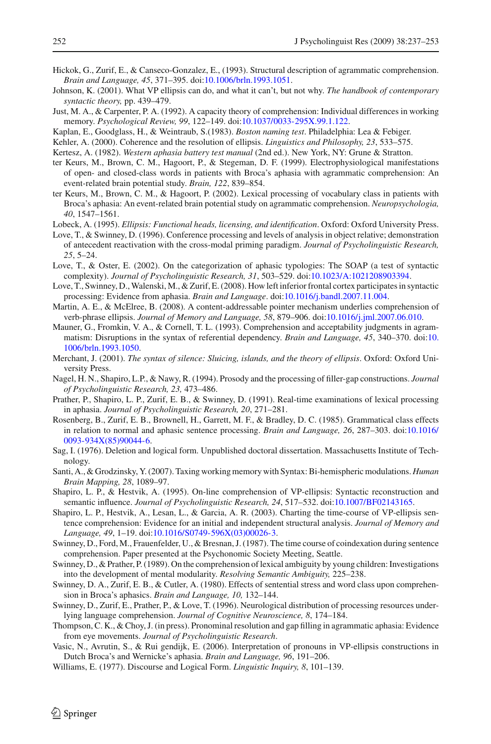- <span id="page-15-13"></span>Hickok, G., Zurif, E., & Canseco-Gonzalez, E., (1993). Structural description of agrammatic comprehension. *Brain and Language, 45*, 371–395. doi[:10.1006/brln.1993.1051.](http://dx.doi.org/10.1006/brln.1993.1051)
- <span id="page-15-0"></span>Johnson, K. (2001). What VP ellipsis can do, and what it can't, but not why. *The handbook of contemporary syntactic theory,* pp. 439–479.
- <span id="page-15-16"></span>Just, M. A., & Carpenter, P. A. (1992). A capacity theory of comprehension: Individual differences in working memory. *Psychological Review, 99*, 122–149. doi[:10.1037/0033-295X.99.1.122.](http://dx.doi.org/10.1037/0033-295X.99.1.122)
- Kaplan, E., Goodglass, H., & Weintraub, S.(1983). *Boston naming test*. Philadelphia: Lea & Febiger.
- <span id="page-15-20"></span><span id="page-15-1"></span>Kehler, A. (2000). Coherence and the resolution of ellipsis. *Linguistics and Philosophy, 23*, 533–575.

<span id="page-15-21"></span>Kertesz, A. (1982). *Western aphasia battery test manual* (2nd ed.). New York, NY: Grune & Stratton.

- <span id="page-15-27"></span>ter Keurs, M., Brown, C. M., Hagoort, P., & Stegeman, D. F. (1999). Electrophysiological manifestations of open- and closed-class words in patients with Broca's aphasia with agrammatic comprehension: An event-related brain potential study. *Brain, 122*, 839–854.
- <span id="page-15-28"></span>ter Keurs, M., Brown, C. M., & Hagoort, P. (2002). Lexical processing of vocabulary class in patients with Broca's aphasia: An event-related brain potential study on agrammatic comprehension. *Neuropsychologia, 40*, 1547–1561.

<span id="page-15-2"></span>Lobeck, A. (1995). *Ellipsis: Functional heads, licensing, and identification*. Oxford: Oxford University Press.

- <span id="page-15-9"></span>Love, T., & Swinney, D. (1996). Conference processing and levels of analysis in object relative; demonstration of antecedent reactivation with the cross-modal priming paradigm. *Journal of Psycholinguistic Research, 25*, 5–24.
- <span id="page-15-12"></span>Love, T., & Oster, E. (2002). On the categorization of aphasic typologies: The SOAP (a test of syntactic complexity). *Journal of Psycholinguistic Research, 31*, 503–529. doi[:10.1023/A:1021208903394.](http://dx.doi.org/10.1023/A:1021208903394)
- <span id="page-15-17"></span>Love, T., Swinney, D.,Walenski, M., & Zurif, E. (2008). How left inferior frontal cortex participates in syntactic processing: Evidence from aphasia. *Brain and Language*. doi[:10.1016/j.bandl.2007.11.004.](http://dx.doi.org/10.1016/j.bandl.2007.11.004)
- <span id="page-15-24"></span>Martin, A. E., & McElree, B. (2008). A content-addressable pointer mechanism underlies comprehension of verb-phrase ellipsis. *Journal of Memory and Language, 58*, 879–906. doi[:10.1016/j.jml.2007.06.010.](http://dx.doi.org/10.1016/j.jml.2007.06.010)
- <span id="page-15-14"></span>Mauner, G., Fromkin, V. A., & Cornell, T. L. (1993). Comprehension and acceptability judgments in agrammatism: Disruptions in the syntax of referential dependency. *Brain and Language, 45*, 340–370. doi[:10.](http://dx.doi.org/10.1006/brln.1993.1050) [1006/brln.1993.1050.](http://dx.doi.org/10.1006/brln.1993.1050)
- <span id="page-15-3"></span>Merchant, J. (2001). *The syntax of silence: Sluicing, islands, and the theory of ellipsis*. Oxford: Oxford University Press.
- <span id="page-15-10"></span>Nagel, H. N., Shapiro, L.P., & Nawy, R. (1994). Prosody and the processing of filler-gap constructions. *Journal of Psycholinguistic Research, 23,* 473–486.
- <span id="page-15-23"></span>Prather, P., Shapiro, L. P., Zurif, E. B., & Swinney, D. (1991). Real-time examinations of lexical processing in aphasia. *Journal of Psycholinguistic Research, 20*, 271–281.
- <span id="page-15-25"></span>Rosenberg, B., Zurif, E. B., Brownell, H., Garrett, M. F., & Bradley, D. C. (1985). Grammatical class effects in relation to normal and aphasic sentence processing. *Brain and Language, 26*, 287–303. doi[:10.1016/](http://dx.doi.org/10.1016/0093-934X(85)90044-6) [0093-934X\(85\)90044-6.](http://dx.doi.org/10.1016/0093-934X(85)90044-6)
- <span id="page-15-4"></span>Sag, I. (1976). Deletion and logical form. Unpublished doctoral dissertation. Massachusetts Institute of Technology.
- <span id="page-15-15"></span>Santi, A., & Grodzinsky, Y. (2007). Taxing working memory with Syntax: Bi-hemispheric modulations. *Human Brain Mapping, 28*, 1089–97.
- <span id="page-15-6"></span>Shapiro, L. P., & Hestvik, A. (1995). On-line comprehension of VP-ellipsis: Syntactic reconstruction and semantic influence. *Journal of Psycholinguistic Research, 24*, 517–532. doi[:10.1007/BF02143165.](http://dx.doi.org/10.1007/BF02143165)
- <span id="page-15-7"></span>Shapiro, L. P., Hestvik, A., Lesan, L., & Garcia, A. R. (2003). Charting the time-course of VP-ellipsis sentence comprehension: Evidence for an initial and independent structural analysis. *Journal of Memory and Language, 49*, 1–19. doi[:10.1016/S0749-596X\(03\)00026-3.](http://dx.doi.org/10.1016/S0749-596X(03)00026-3)
- <span id="page-15-8"></span>Swinney, D., Ford, M., Frauenfelder, U., & Bresnan, J. (1987). The time course of coindexation during sentence comprehension. Paper presented at the Psychonomic Society Meeting, Seattle.
- <span id="page-15-22"></span>Swinney, D., & Prather, P. (1989). On the comprehension of lexical ambiguity by young children: Investigations into the development of mental modularity. *Resolving Semantic Ambiguity,* 225–238.
- <span id="page-15-26"></span>Swinney, D. A., Zurif, E. B., & Cutler, A. (1980). Effects of sentential stress and word class upon comprehension in Broca's aphasics. *Brain and Language, 10,* 132–144.
- <span id="page-15-18"></span>Swinney, D., Zurif, E., Prather, P., & Love, T. (1996). Neurological distribution of processing resources underlying language comprehension. *Journal of Cognitive Neuroscience, 8*, 174–184.
- <span id="page-15-19"></span>Thompson, C. K., & Choy, J. (in press). Pronominal resolution and gap filling in agrammatic aphasia: Evidence from eye movements. *Journal of Psycholinguistic Research*.
- <span id="page-15-11"></span>Vasic, N., Avrutin, S., & Rui gendijk, E. (2006). Interpretation of pronouns in VP-ellipsis constructions in Dutch Broca's and Wernicke's aphasia. *Brain and Language, 96*, 191–206.
- <span id="page-15-5"></span>Williams, E. (1977). Discourse and Logical Form. *Linguistic Inquiry, 8*, 101–139.